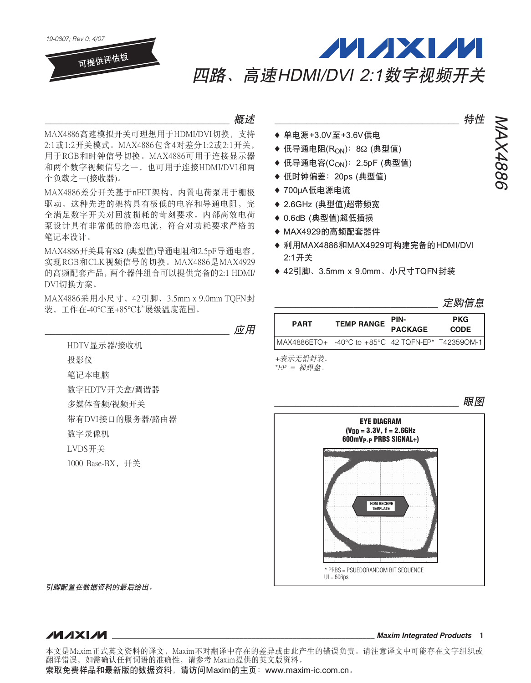

``````````````````````````````````` গၤ

MAX4886高速模拟开关可理想用于HDMI/DVI切换, 支持 2:1或1:2开关模式。MAX4886包含4对差分1:2或2:1开关, 用于RGB和时钟信号切换。MAX4886可用于连接显示器 和两个数字视频信号之一,也可用于连接HDMI/DVI和两 个负载之一(接收器)。

MAX4886差分开关基于nFET架构, 内置电荷泵用于栅极 驱动。这种先进的架构具有极低的电容和导通电阻,完 全满足数字开关对回波损耗的苛刻要求。内部高效电荷 泵设计具有非常低的静态电流, 符合对功耗要求严格的 笔记本设计。

 $MAX4886$ 开关具有8Ω (典型值)导通电阻和2.5pF导通电容, 实现RGB和CLK视频信号的切换。MAX4886是MAX4929 的高频配套产品, 两个器件组合可以提供完备的2:1 HDMI/ DVI切换方案。

MAX4886采用小尺寸、42引脚、3.5mm x 9.0mm TQFN封 装,工作在-40℃至+85℃扩展级温度范围。

|                 | 应用 |
|-----------------|----|
| HDTV显示器/接收机     |    |
| 投影仪             |    |
| 笔记本电脑           |    |
| 数字HDTV开关盒/调谐器   |    |
| 多媒体音频/视频开关      |    |
| 带有DVI接口的服务器/路由器 |    |
| 粘ウ크佐扣           |    |

数字录像机

LVDS开关

1000 Base-BX, 开关

#### ``````````````````````````````````` ᄂቶ

NBY5997

**MAX4886** 

- ◆ 单电源+3.0V至+3.6V供电
- ◆ 低导通电阻(R<sub>ON</sub>): 8Ω (典型值)
- ◆ 低导通电容(C<sub>ON</sub>): 2.5pF (典型值)
- ◆ 低时钟偏差: 20ps (典型值)
- ◆ 700µA低电源电流
- ◆ 2.6GHz (典型值)超带频宽
- ◆ 0.6dB (典型值)超低插损
- ◆ MAX4929的高频配套器件
- ◆ 利用MAX4886和MAX4929可构建完备的HDMI/DVI 2:1开关
- ◆ 42引脚、3.5mm x 9.0mm、小尺寸TQFN封装

定购信息

| <b>PART</b> | <b>TEMP RANGE</b>                                 | PIN-<br><b>PACKAGE</b> | <b>PKG</b><br><b>CODE</b> |
|-------------|---------------------------------------------------|------------------------|---------------------------|
|             | MAX4886ETO+ -40°C to +85°C 42 TQFN-EP* T42359OM-1 |                        |                           |

+表示无铅封装。

 $E$  = 裸焊盘。



引脚配置在数据资料的最后给出。

#### **MAXIM**

**\_\_\_\_\_\_\_\_\_\_\_\_\_\_\_\_\_\_\_\_\_\_\_\_\_\_\_\_\_\_\_\_\_\_\_\_\_\_\_\_\_\_\_\_\_\_\_\_\_\_\_\_\_\_\_\_\_\_\_\_\_\_\_\_** *Maxim Integrated Products* **1**

本文是Maxim正式英文资料的译文, Maxim不对翻译中存在的差异或由此产生的错误负责。请注意译文中可能存在文字组织或 翻译错误, 如需确认任何词语的准确性, 请参考 Maxim提供的英文版资料。 索取免费样品和最新版的数据资料,请访问Maxim的主页: www.maxim-ic.com.cn。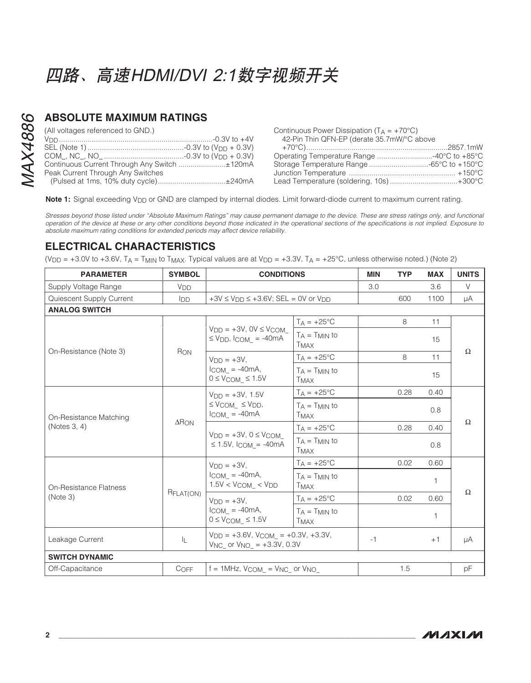四路、高速HDMI/DVI 2:1数字视频开关

### **ABSOLUTE MAXIMUM RATINGS**

(All voltages referenced to GND.)

| (Pulsed at 1ms, 10% duty cycle)±240mA |
|---------------------------------------|
|                                       |

| Continuous Power Dissipation ( $T_A = +70^{\circ}C$ ) |  |
|-------------------------------------------------------|--|
| 42-Pin Thin QFN-EP (derate 35.7mW/°C above            |  |
|                                                       |  |
| Operating Temperature Range 40°C to +85°C             |  |
|                                                       |  |
|                                                       |  |
| Lead Temperature (soldering, 10s) +300°C              |  |
|                                                       |  |

Note 1: Signal exceeding V<sub>DD</sub> or GND are clamped by internal diodes. Limit forward-diode current to maximum current rating.

Stresses beyond those listed under "Absolute Maximum Ratings" may cause permanent damage to the device. These are stress ratings only, and functional operation of the device at these or any other conditions beyond those indicated in the operational sections of the specifications is not implied. Exposure to absolute maximum rating conditions for extended periods may affect device reliability.

### **ELECTRICAL CHARACTERISTICS**

(V<sub>DD</sub> = +3.0V to +3.6V, T<sub>A</sub> = T<sub>MIN</sub> to T<sub>MAX</sub>. Typical values are at V<sub>DD</sub> = +3.3V, T<sub>A</sub> = +25<sup>o</sup>C, unless otherwise noted.) (Note 2)

| <b>PARAMETER</b>                                                                                                                                                             | <b>SYMBOL</b>         |                                                                                                                                                                                                                                                                                                                                                                                                                                                                                                                                                                                                                                                                                                                                                                                                                                                                                                                                                                                                                                                                                                                                     |                                    | <b>MIN</b> | <b>TYP</b> | <b>MAX</b> | <b>UNITS</b> |  |
|------------------------------------------------------------------------------------------------------------------------------------------------------------------------------|-----------------------|-------------------------------------------------------------------------------------------------------------------------------------------------------------------------------------------------------------------------------------------------------------------------------------------------------------------------------------------------------------------------------------------------------------------------------------------------------------------------------------------------------------------------------------------------------------------------------------------------------------------------------------------------------------------------------------------------------------------------------------------------------------------------------------------------------------------------------------------------------------------------------------------------------------------------------------------------------------------------------------------------------------------------------------------------------------------------------------------------------------------------------------|------------------------------------|------------|------------|------------|--------------|--|
| Supply Voltage Range                                                                                                                                                         | <b>V<sub>DD</sub></b> |                                                                                                                                                                                                                                                                                                                                                                                                                                                                                                                                                                                                                                                                                                                                                                                                                                                                                                                                                                                                                                                                                                                                     |                                    | 3.0        |            | 3.6        | $\vee$       |  |
| Quiescent Supply Current                                                                                                                                                     | lop.                  |                                                                                                                                                                                                                                                                                                                                                                                                                                                                                                                                                                                                                                                                                                                                                                                                                                                                                                                                                                                                                                                                                                                                     |                                    |            | 600        | 1100       | μA           |  |
| <b>ANALOG SWITCH</b>                                                                                                                                                         |                       |                                                                                                                                                                                                                                                                                                                                                                                                                                                                                                                                                                                                                                                                                                                                                                                                                                                                                                                                                                                                                                                                                                                                     |                                    |            |            |            |              |  |
|                                                                                                                                                                              |                       |                                                                                                                                                                                                                                                                                                                                                                                                                                                                                                                                                                                                                                                                                                                                                                                                                                                                                                                                                                                                                                                                                                                                     | $T_A = +25^{\circ}C$               |            | 8          | 11         |              |  |
| On-Resistance (Note 3)<br>On-Resistance Matching<br>(Notes 3, 4)<br><b>On-Resistance Flatness</b><br>(Note 3)<br>Leakage Current<br><b>SWITCH DYNAMIC</b><br>Off-Capacitance |                       | $\leq$ V <sub>DD</sub> , I <sub>COM</sub> = -40mA                                                                                                                                                                                                                                                                                                                                                                                                                                                                                                                                                                                                                                                                                                                                                                                                                                                                                                                                                                                                                                                                                   | $T_A = T_{MIN}$ to<br><b>T</b> MAX |            |            | 15         |              |  |
|                                                                                                                                                                              |                       | $VDD = +3V.$                                                                                                                                                                                                                                                                                                                                                                                                                                                                                                                                                                                                                                                                                                                                                                                                                                                                                                                                                                                                                                                                                                                        | $T_A = +25$ °C                     |            | 8          | 11         |              |  |
|                                                                                                                                                                              |                       | <b>CONDITIONS</b><br>$+3V \le VDD \le +3.6V$ ; SEL = 0V or $VDD$<br>$V_{DD} = +3V$ , $OV \le V_{COM}$<br>$R_{ON}$<br>$\Omega$<br>$l_{COM}$ = -40mA,<br>$T_A = T_{MIN}$ to<br>15<br>$0 \leq V_{COM} \leq 1.5V$<br>T <sub>MAX</sub><br>0.28<br>0.40<br>$T_A = +25^{\circ}C$<br>$V_{\text{DD}} = +3V, 1.5V$<br>$\leq$ VCOM $\leq$ VDD,<br>$T_A = T_{MIN}$ to<br>0.8<br>$l_{COM}$ = -40mA<br><b>T</b> <sub>MAX</sub><br>$\Delta$ RON<br>$\Omega$<br>$T_A = +25$ °C<br>0.28<br>0.40<br>$V_{DD} = +3V, 0 \leq V_{COM}$<br>$T_A = T_{MIN}$ to<br>$\leq$ 1.5V, I <sub>COM</sub> = -40mA<br>0.8<br><b>TMAX</b><br>$T_A = +25$ °C<br>0.02<br>0.60<br>$VDD = +3V,$<br>$l_{COM}$ = -40mA,<br>$T_A = T_{MIN}$ to<br>1<br>$1.5V < V_{COM} < V_{DD}$<br><b>TMAX</b><br>$\Omega$<br>$T_A = +25^{\circ}C$<br>0.02<br>0.60<br>$VDD = +3V$<br>$l_{COM}$ = -40mA,<br>$T_A = T_{MIN}$ to<br>1<br>$0 \leq V_{COM} \leq 1.5V$<br><b>TMAX</b><br>$V_{\text{DD}} = +3.6V$ , $V_{\text{COM}} = +0.3V$ , $+3.3V$ ,<br>IL<br>$-1$<br>μA<br>$+1$<br>$V_{\text{NC}}$ or $V_{\text{NO}}$ = +3.3V, 0.3V<br>1.5<br>$f = 1$ MHz, $V_{COM} = V_{NC}$ or $V_{NO}$<br>рF |                                    |            |            |            |              |  |
|                                                                                                                                                                              |                       |                                                                                                                                                                                                                                                                                                                                                                                                                                                                                                                                                                                                                                                                                                                                                                                                                                                                                                                                                                                                                                                                                                                                     |                                    |            |            |            |              |  |
|                                                                                                                                                                              |                       |                                                                                                                                                                                                                                                                                                                                                                                                                                                                                                                                                                                                                                                                                                                                                                                                                                                                                                                                                                                                                                                                                                                                     |                                    |            |            |            |              |  |
|                                                                                                                                                                              |                       |                                                                                                                                                                                                                                                                                                                                                                                                                                                                                                                                                                                                                                                                                                                                                                                                                                                                                                                                                                                                                                                                                                                                     |                                    |            |            |            |              |  |
|                                                                                                                                                                              | RFLAT(ON)             |                                                                                                                                                                                                                                                                                                                                                                                                                                                                                                                                                                                                                                                                                                                                                                                                                                                                                                                                                                                                                                                                                                                                     |                                    |            |            |            |              |  |
|                                                                                                                                                                              |                       |                                                                                                                                                                                                                                                                                                                                                                                                                                                                                                                                                                                                                                                                                                                                                                                                                                                                                                                                                                                                                                                                                                                                     |                                    |            |            |            |              |  |
|                                                                                                                                                                              |                       |                                                                                                                                                                                                                                                                                                                                                                                                                                                                                                                                                                                                                                                                                                                                                                                                                                                                                                                                                                                                                                                                                                                                     |                                    |            |            |            |              |  |
|                                                                                                                                                                              |                       |                                                                                                                                                                                                                                                                                                                                                                                                                                                                                                                                                                                                                                                                                                                                                                                                                                                                                                                                                                                                                                                                                                                                     |                                    |            |            |            |              |  |
|                                                                                                                                                                              |                       |                                                                                                                                                                                                                                                                                                                                                                                                                                                                                                                                                                                                                                                                                                                                                                                                                                                                                                                                                                                                                                                                                                                                     |                                    |            |            |            |              |  |
|                                                                                                                                                                              |                       |                                                                                                                                                                                                                                                                                                                                                                                                                                                                                                                                                                                                                                                                                                                                                                                                                                                                                                                                                                                                                                                                                                                                     |                                    |            |            |            |              |  |
|                                                                                                                                                                              |                       |                                                                                                                                                                                                                                                                                                                                                                                                                                                                                                                                                                                                                                                                                                                                                                                                                                                                                                                                                                                                                                                                                                                                     |                                    |            |            |            |              |  |
|                                                                                                                                                                              | COFF                  |                                                                                                                                                                                                                                                                                                                                                                                                                                                                                                                                                                                                                                                                                                                                                                                                                                                                                                                                                                                                                                                                                                                                     |                                    |            |            |            |              |  |

MAX4886

**MAX4886**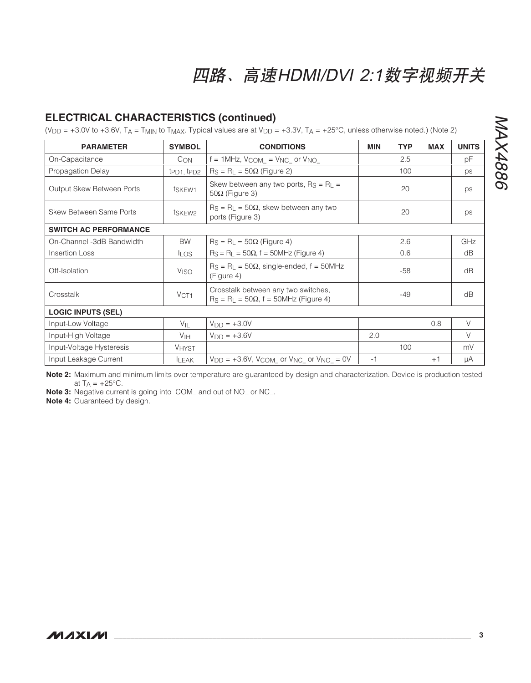### **ELECTRICAL CHARACTERISTICS (continued)**

(V<sub>DD</sub> = +3.0V to +3.6V, T<sub>A</sub> = T<sub>MIN</sub> to T<sub>MAX</sub>. Typical values are at V<sub>DD</sub> = +3.3V, T<sub>A</sub> = +25°C, unless otherwise noted.) (Note 2)

| <b>PARAMETER</b>             | <b>SYMBOL</b>                       | <b>CONDITIONS</b>                                                                    | <b>MIN</b> | <b>TYP</b> | <b>MAX</b> | <b>UNITS</b> |
|------------------------------|-------------------------------------|--------------------------------------------------------------------------------------|------------|------------|------------|--------------|
| On-Capacitance               | CON                                 | $= 1$ MHz, V <sub>COM_</sub> = V <sub>NC_</sub> or V <sub>NO_</sub>                  |            | 2.5        |            | рF           |
| Propagation Delay            | t <sub>PD1</sub> , t <sub>PD2</sub> | $R_S = R_1 = 50\Omega$ (Figure 2)                                                    |            | 100        |            | ps           |
| Output Skew Between Ports    | t <sub>SKEW1</sub>                  | Skew between any two ports, $R_S = R_L$ =<br>$50\Omega$ (Figure 3)                   |            | 20         |            | ps           |
| Skew Between Same Ports      | tskEW <sub>2</sub>                  | $R_S = R_L = 50\Omega$ , skew between any two<br>ports (Figure 3)                    |            | 20         |            | ps           |
| <b>SWITCH AC PERFORMANCE</b> |                                     |                                                                                      |            |            |            |              |
| On-Channel -3dB Bandwidth    | <b>BW</b>                           | $R_S = R_L = 50\Omega$ (Figure 4)                                                    |            | 2.6        |            | <b>GHz</b>   |
| Insertion Loss               | $I_{LOS}$                           | $R_S = R_L = 50\Omega$ , f = 50MHz (Figure 4)                                        |            | 0.6        |            | dB           |
| Off-Isolation                | <b>V<sub>ISO</sub></b>              | $R_S = R_L = 50\Omega$ , single-ended, f = 50MHz<br>(Figure 4)                       |            | $-58$      |            | dB           |
| Crosstalk                    | VCT1                                | Crosstalk between any two switches,<br>$R_S = R_L = 50\Omega$ , f = 50MHz (Figure 4) |            | $-49$      |            | dB           |
| <b>LOGIC INPUTS (SEL)</b>    |                                     |                                                                                      |            |            |            |              |
| Input-Low Voltage            | $V_{\parallel}$                     | $V_{DD} = +3.0V$                                                                     |            |            | 0.8        | $\vee$       |
| Input-High Voltage           | VIH                                 | $VDD = +3.6V$                                                                        | 2.0        |            |            | $\vee$       |
| Input-Voltage Hysteresis     | <b>VHYST</b>                        |                                                                                      |            | 100        |            | mV           |
| Input Leakage Current        | <b>ILEAK</b>                        | $V_{DD} = +3.6V$ , $V_{COM}$ or $V_{NC}$ or $V_{NO} = 0V$                            | $-1$       |            | $+1$       | μA           |

**Note 2:** Maximum and minimum limits over temperature are guaranteed by design and characterization. Device is production tested at  $T_A = +25$ °C.

**Note 3:** Negative current is going into COM\_ and out of NO\_ or NC\_.

**Note 4:** Guaranteed by design.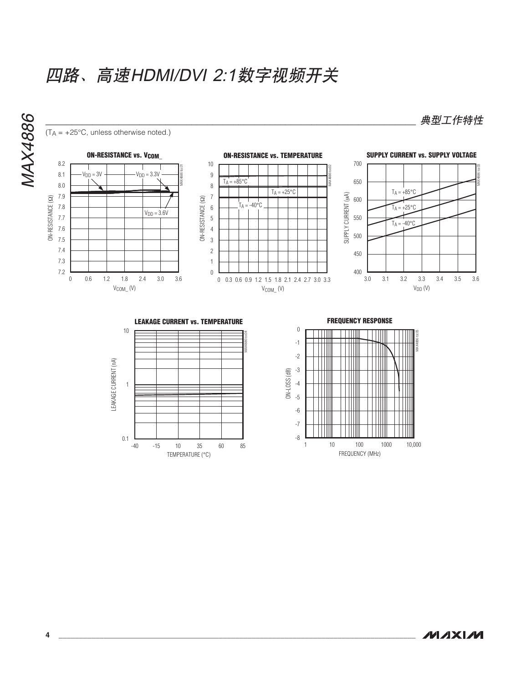



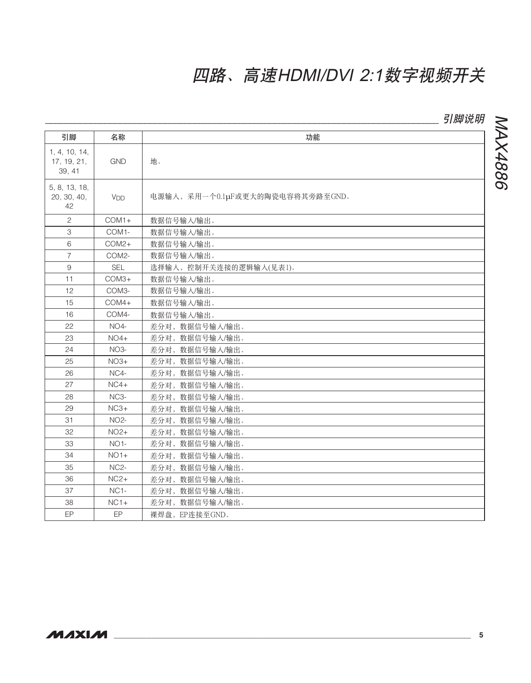引脚说明

|                                        |                       |                                 | 引脚说明           |
|----------------------------------------|-----------------------|---------------------------------|----------------|
| 引脚                                     | 名称                    | 功能                              |                |
| 1, 4, 10, 14,<br>17, 19, 21,<br>39, 41 | <b>GND</b>            | 地。                              | <b>MAX4886</b> |
| 5, 8, 13, 18,<br>20, 30, 40,<br>42     | <b>V<sub>DD</sub></b> | 电源输入,采用一个0.1µF或更大的陶瓷电容将其旁路至GND。 |                |
| $\overline{c}$                         | $COM1+$               | 数据信号输入/输出。                      |                |
| 3                                      | COM1-                 | 数据信号输入/输出。                      |                |
| 6                                      | $COM2+$               | 数据信号输入/输出。                      |                |
| $\overline{7}$                         | COM <sub>2</sub> -    | 数据信号输入/输出。                      |                |
| 9                                      | <b>SEL</b>            | 选择输入, 控制开关连接的逻辑输入(见表1)。         |                |
| 11                                     | $COM3+$               | 数据信号输入/输出。                      |                |
| 12                                     | COM <sub>3</sub> -    | 数据信号输入/输出。                      |                |
| 15                                     | $COM4+$               | 数据信号输入/输出。                      |                |
| 16                                     | COM4-                 | 数据信号输入/输出。                      |                |
| 22                                     | <b>NO4-</b>           | 差分对, 数据信号输入/输出。                 |                |
| 23                                     | $NO4+$                | 差分对, 数据信号输入/输出。                 |                |
| 24                                     | NO <sub>3</sub>       | 差分对, 数据信号输入/输出。                 |                |
| 25                                     | $NO3+$                | 差分对, 数据信号输入/输出。                 |                |
| 26                                     | $NC4-$                | 差分对, 数据信号输入/输出。                 |                |
| 27                                     | $NC4+$                | 差分对, 数据信号输入/输出。                 |                |
| 28                                     | NC <sub>3</sub> -     | 差分对, 数据信号输入/输出。                 |                |
| 29                                     | $NC3+$                | 差分对, 数据信号输入/输出。                 |                |
| 31                                     | NO <sub>2</sub> -     | 差分对, 数据信号输入/输出。                 |                |
| 32                                     | $NO2+$                | 差分对, 数据信号输入/输出。                 |                |
| 33                                     | $NO1-$                | 差分对, 数据信号输入/输出。                 |                |
| 34                                     | $NO1+$                | 差分对, 数据信号输入/输出。                 |                |
| 35                                     | $NC2-$                | 差分对, 数据信号输入/输出。                 |                |
| 36                                     | $NC2+$                | 差分对, 数据信号输入/输出。                 |                |
| 37                                     | $NC1-$                | 差分对, 数据信号输入/输出。                 |                |
| 38                                     | $NC1+$                | 差分对, 数据信号输入/输出。                 |                |
| EP                                     | EP                    | 裸焊盘, EP连接至GND。                  |                |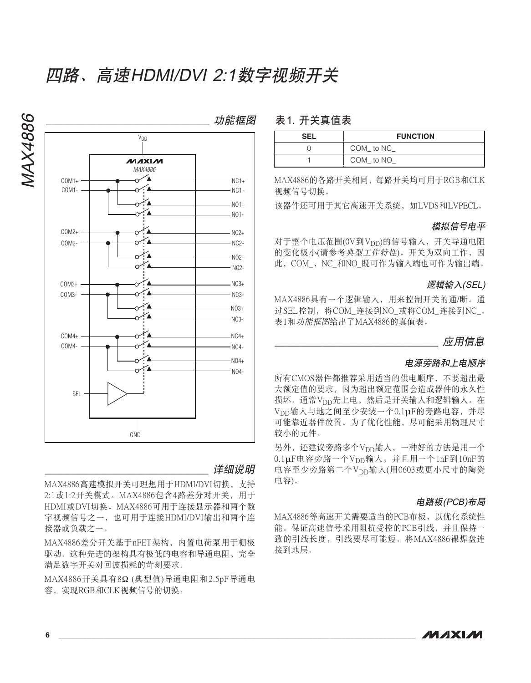

功能框图 表1. 开关真值表

| SEL | <b>FUNCTION</b> |
|-----|-----------------|
|     | COM to NC       |
|     | $COM_$ to $NO_$ |

MAX4886的各路开关相同, 每路开关均可用于RGB和CLK 视频信号切换。

该器件还可用于其它高速开关系统, 如LVDS和LVPECL。

#### 模拟信号电平

对于整个电压范围(OV到V<sub>DD</sub>)的信号输入,开关导通电阻 的变化极小(请参考典型工作特性)。开关为双向工作, 因 此, COM\_、NC\_和NO\_既可作为输入端也可作为输出端。

#### 逻辑输入(SEL)

MAX4886具有一个逻辑输入, 用来控制开关的通/断。通 过SEL控制, 将COM 连接到NO 或将COM 连接到NC 。 表1和功能框图给出了MAX4886的真值表。

#### 应用信息

#### 由源旁路和上电顺序

所有CMOS器件都推荐采用话当的供电顺序, 不要超出最 大额定值的要求,因为超出额定范围会造成器件的永久性 损坏。通常Vpp先上电,然后是开关输入和逻辑输入。在 Vpp输入与地之间至少安装一个0.1µF的旁路电容,并尽 可能靠近器件放置。为了优化性能,尽可能采用物理尺寸 较小的元件。

另外, 还建议旁路多个Vpp输入, 一种好的方法是用一个  $0.1\mu$ F电容旁路一个V<sub>DD</sub>输入, 并且用一个1nF到10nF的 电容至少旁路第二个Vpp输入(用0603或更小尺寸的陶瓷 电容)。

#### 电路板(PCB)布局

MAX4886等高速开关需要活当的PCB布板, 以优化系统性 能。保证高速信号采用阻抗受控的PCB引线,并且保持一 致的引线长度, 引线要尽可能短。将MAX4886裸焊盘连 接到地层。

``````````````````````````````` ሮᇼႁී

MAX4886高速模拟开关可理想用于HDMI/DVI切换, 支持 2:1或1:2开关模式。MAX4886包含4路差分对开关, 用于 HDMI或DVI切换。MAX4886可用于连接显示器和两个数 字视频信号之一, 也可用于连接HDMI/DVI输出和两个连 接器或负载之一。

MAX4886差分开关基于nFET架构, 内置电荷泵用于栅极 驱动。这种先进的架构具有极低的电容和导通电阻、完全 满足数字开关对回波损耗的苛刻要求。

 $MAX4886$ 开关具有 $8$ Ω (典型值)导通电阻和2.5pF导通电 容,实现RGB和CLK视频信号的切换。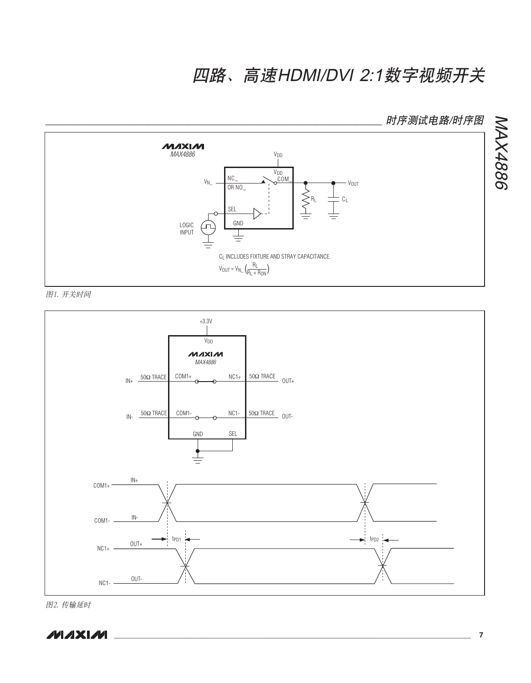时序测试电路/时序图



图1. 开关时间



图2. 传输延时

 $MAXM$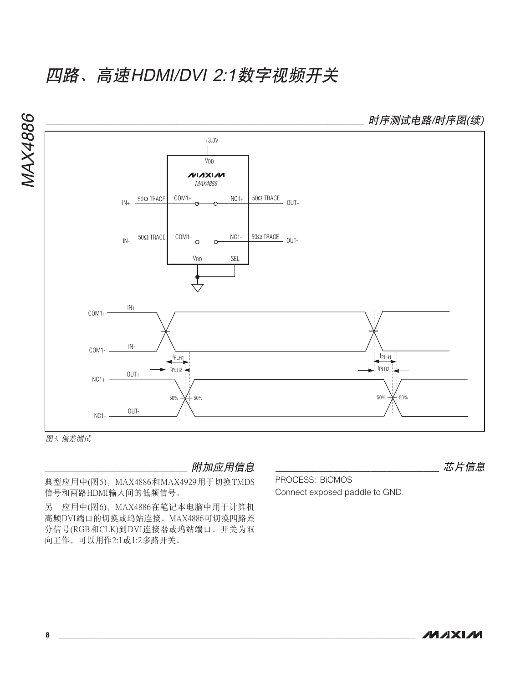

图3. 偏差测试

**附加应用信息** 

典型应用中(图5), MAX4886和MAX4929用于切换TMDS 信号和两路HDMI输入间的低频信号。

另一应用中(图6), MAX4886在笔记本电脑中用于计算机 高频DVI端口的切换或坞站连接。MAX4886可切换四路差 分信号(RGB和CLK)到DVI连接器或坞站端口。开关为双 向工作,可以用作2:1或1:2多路开关。

PROCESS: BiCMOS

Connect exposed paddle to GND.

芯片信息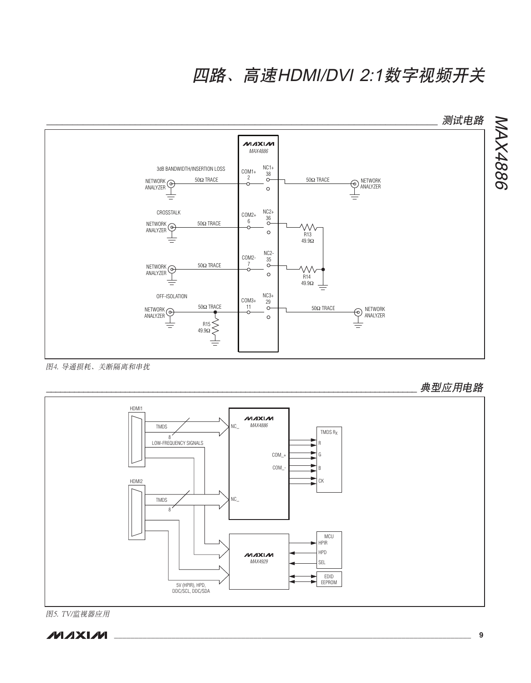

图4. 导通损耗、关断隔离和串扰

### 典型应用电路



图5. TV/监视器应用

 $MAXM$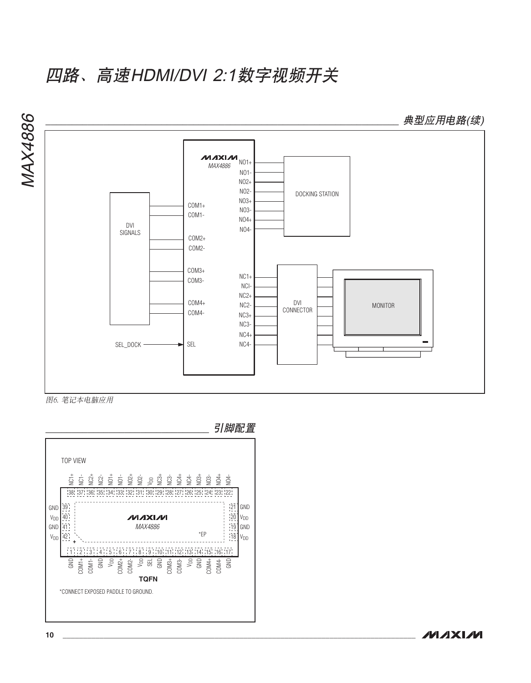

图6. 笔记本电脑应用



引脚配置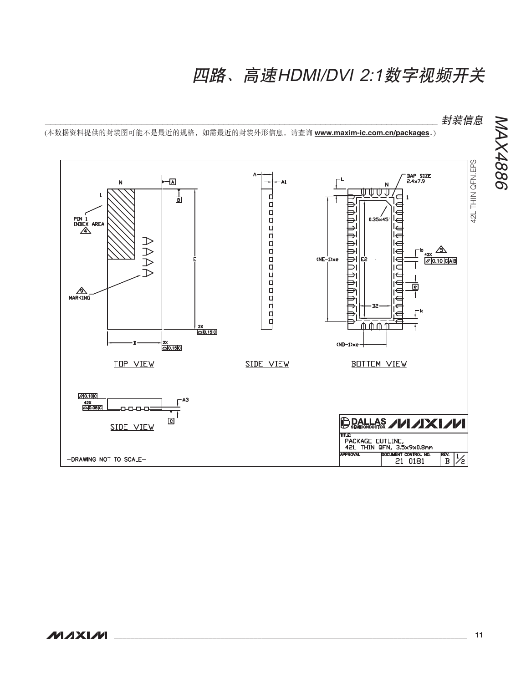

NAX4886 NBY5997